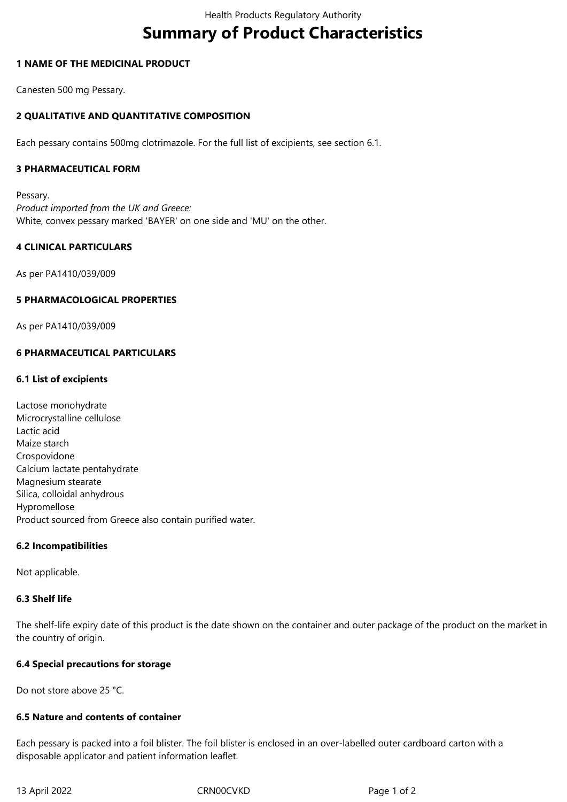# **Summary of Product Characteristics**

# **1 NAME OF THE MEDICINAL PRODUCT**

Canesten 500 mg Pessary.

# **2 QUALITATIVE AND QUANTITATIVE COMPOSITION**

Each pessary contains 500mg clotrimazole. For the full list of excipients, see section 6.1.

# **3 PHARMACEUTICAL FORM**

Pessary. *Product imported from the UK and Greece:* White, convex pessary marked 'BAYER' on one side and 'MU' on the other.

# **4 CLINICAL PARTICULARS**

As per PA1410/039/009

# **5 PHARMACOLOGICAL PROPERTIES**

As per PA1410/039/009

# **6 PHARMACEUTICAL PARTICULARS**

# **6.1 List of excipients**

Lactose monohydrate Microcrystalline cellulose Lactic acid Maize starch Crospovidone Calcium lactate pentahydrate Magnesium stearate Silica, colloidal anhydrous Hypromellose Product sourced from Greece also contain purified water.

#### **6.2 Incompatibilities**

Not applicable.

#### **6.3 Shelf life**

The shelf-life expiry date of this product is the date shown on the container and outer package of the product on the market in the country of origin.

#### **6.4 Special precautions for storage**

Do not store above 25 °C.

#### **6.5 Nature and contents of container**

Each pessary is packed into a foil blister. The foil blister is enclosed in an over-labelled outer cardboard carton with a disposable applicator and patient information leaflet.